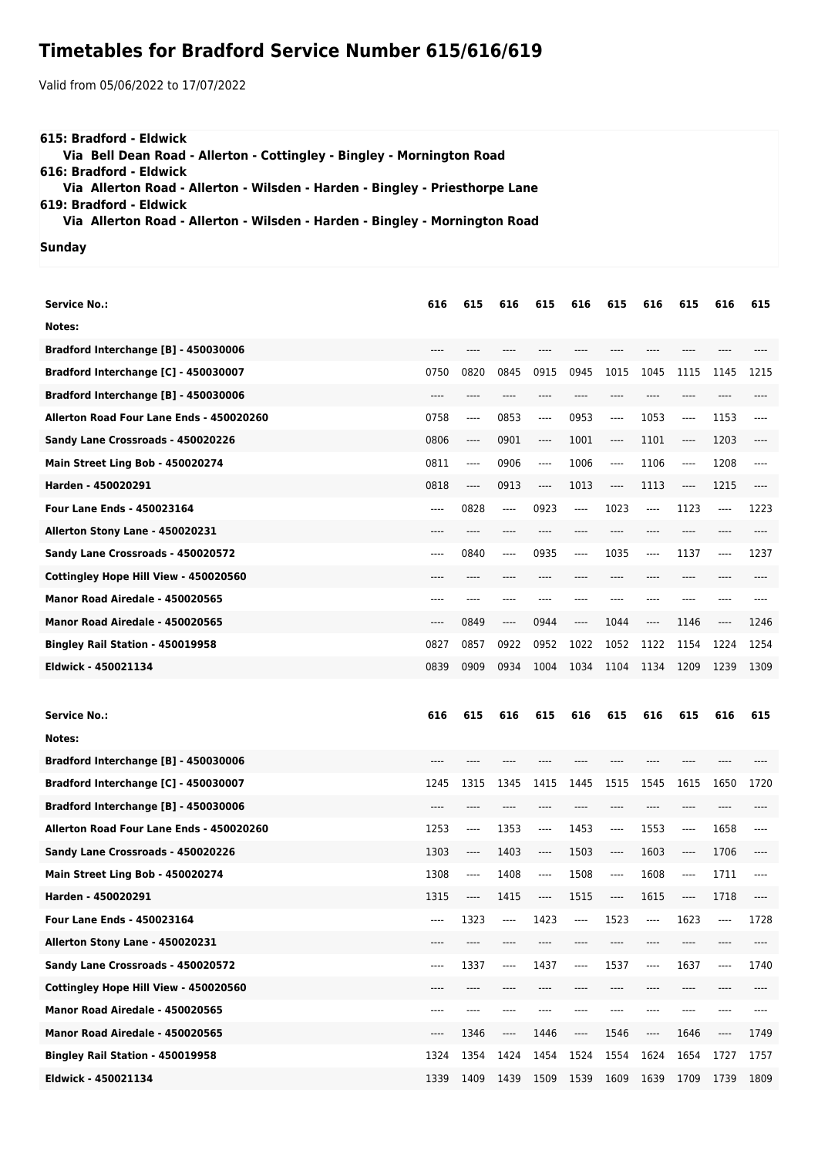## **Timetables for Bradford Service Number 615/616/619**

Valid from 05/06/2022 to 17/07/2022

| 615: Bradford - Eldwick<br>Via Bell Dean Road - Allerton - Cottingley - Bingley - Mornington Road |  |
|---------------------------------------------------------------------------------------------------|--|
| 616: Bradford - Eldwick                                                                           |  |
| Via Allerton Road - Allerton - Wilsden - Harden - Bingley - Priesthorpe Lane                      |  |
| 619: Bradford - Eldwick                                                                           |  |
| Via Allerton Road - Allerton - Wilsden - Harden - Bingley - Mornington Road                       |  |
| Sunday                                                                                            |  |

| <b>Service No.:</b>                      | 616   | 615      | 616                           | 615      | 616   | 615  | 616     | 615                           | 616                           | 615   |
|------------------------------------------|-------|----------|-------------------------------|----------|-------|------|---------|-------------------------------|-------------------------------|-------|
| Notes:                                   |       |          |                               |          |       |      |         |                               |                               |       |
| Bradford Interchange [B] - 450030006     |       |          |                               |          |       |      |         |                               |                               |       |
| Bradford Interchange [C] - 450030007     | 0750  | 0820     | 0845                          | 0915     | 0945  | 1015 | 1045    | 1115                          | 1145                          | 1215  |
| Bradford Interchange [B] - 450030006     | $---$ | ----     | $---$                         | ----     | ----  | ---- | $---$   | $---$                         | ----                          | ----  |
| Allerton Road Four Lane Ends - 450020260 | 0758  | ----     | 0853                          | ----     | 0953  | ---- | 1053    | $-----$                       | 1153                          | ----  |
| Sandy Lane Crossroads - 450020226        | 0806  | ----     | 0901                          | ----     | 1001  | ---- | 1101    | $\hspace{1.5cm} \textbf{---}$ | 1203                          | ----  |
| Main Street Ling Bob - 450020274         | 0811  | ----     | 0906                          | $\cdots$ | 1006  | ---- | 1106    | ----                          | 1208                          | $---$ |
| Harden - 450020291                       | 0818  | $\cdots$ | 0913                          | $\cdots$ | 1013  | ---- | 1113    | ----                          | 1215                          | $---$ |
| <b>Four Lane Ends - 450023164</b>        | $---$ | 0828     | $---$                         | 0923     | $---$ | 1023 | $---$   | 1123                          | ----                          | 1223  |
| Allerton Stony Lane - 450020231          | ----  | ----     | ----                          | ----     | ----  | ---- | ----    | $---$                         | ----                          | ----  |
| Sandy Lane Crossroads - 450020572        | $---$ | 0840     | $---$                         | 0935     | ----  | 1035 | $---$   | 1137                          | ----                          | 1237  |
| Cottingley Hope Hill View - 450020560    | $---$ | ----     | ----                          | ----     | ----  | ---- | $---$   | $---$                         | ----                          | ----  |
| Manor Road Airedale - 450020565          | $---$ | ----     | $---$                         | ----     | ----  | ---- | ----    | ----                          | ----                          | ----  |
| Manor Road Airedale - 450020565          | $---$ | 0849     | $-----$                       | 0944     | ----  | 1044 | $-----$ | 1146                          | $\hspace{1.5cm} \textbf{---}$ | 1246  |
| Bingley Rail Station - 450019958         | 0827  | 0857     | 0922                          | 0952     | 1022  | 1052 | 1122    | 1154                          | 1224                          | 1254  |
| Eldwick - 450021134                      | 0839  | 0909     | 0934                          | 1004     | 1034  | 1104 | 1134    | 1209                          | 1239                          | 1309  |
|                                          |       |          |                               |          |       |      |         |                               |                               |       |
|                                          |       |          |                               |          |       |      |         |                               |                               |       |
| <b>Service No.:</b>                      | 616   | 615      | 616                           | 615      | 616   | 615  | 616     | 615                           | 616                           | 615   |
| Notes:                                   |       |          |                               |          |       |      |         |                               |                               |       |
| Bradford Interchange [B] - 450030006     |       |          |                               |          |       |      |         |                               |                               |       |
| Bradford Interchange [C] - 450030007     | 1245  | 1315     | 1345                          | 1415     | 1445  | 1515 | 1545    | 1615                          | 1650                          | 1720  |
| Bradford Interchange [B] - 450030006     | ----  | ----     |                               | ----     |       | ---- | ----    | $---$                         | ----                          |       |
| Allerton Road Four Lane Ends - 450020260 | 1253  | ----     | 1353                          | ----     | 1453  | ---- | 1553    | ----                          | 1658                          | ----  |
| Sandy Lane Crossroads - 450020226        | 1303  | ----     | 1403                          | ----     | 1503  | ---- | 1603    | ----                          | 1706                          | ----  |
| Main Street Ling Bob - 450020274         | 1308  | ----     | 1408                          | ----     | 1508  | ---- | 1608    | $---$                         | 1711                          |       |
| Harden - 450020291                       | 1315  | ----     | 1415                          | ----     | 1515  | ---- | 1615    | ----                          | 1718                          | ----  |
| Four Lane Ends - 450023164               | ----  | 1323     | $-----$                       | 1423     | ----  | 1523 | ----    | 1623                          | ----                          | 1728  |
| Allerton Stony Lane - 450020231          | ----  |          |                               |          |       |      |         |                               |                               |       |
| Sandy Lane Crossroads - 450020572        | ----  | 1337     | ----                          | 1437     | ----  | 1537 | ----    | 1637                          | $\cdots$                      | 1740  |
| Cottingley Hope Hill View - 450020560    | $---$ | ----     | ----                          | ----     |       | ---- | ----    | ----                          | ----                          | ----  |
| Manor Road Airedale - 450020565          | $---$ | ----     | ----                          | ----     |       |      | ----    | ----                          | ----                          | ----  |
| Manor Road Airedale - 450020565          | $---$ | 1346     | $\hspace{1.5cm} \textbf{---}$ | 1446     | ----  | 1546 | ----    | 1646                          | ----                          | 1749  |

**Eldwick - 450021134** 1339 1409 1439 1509 1539 1609 1639 1709 1739 1809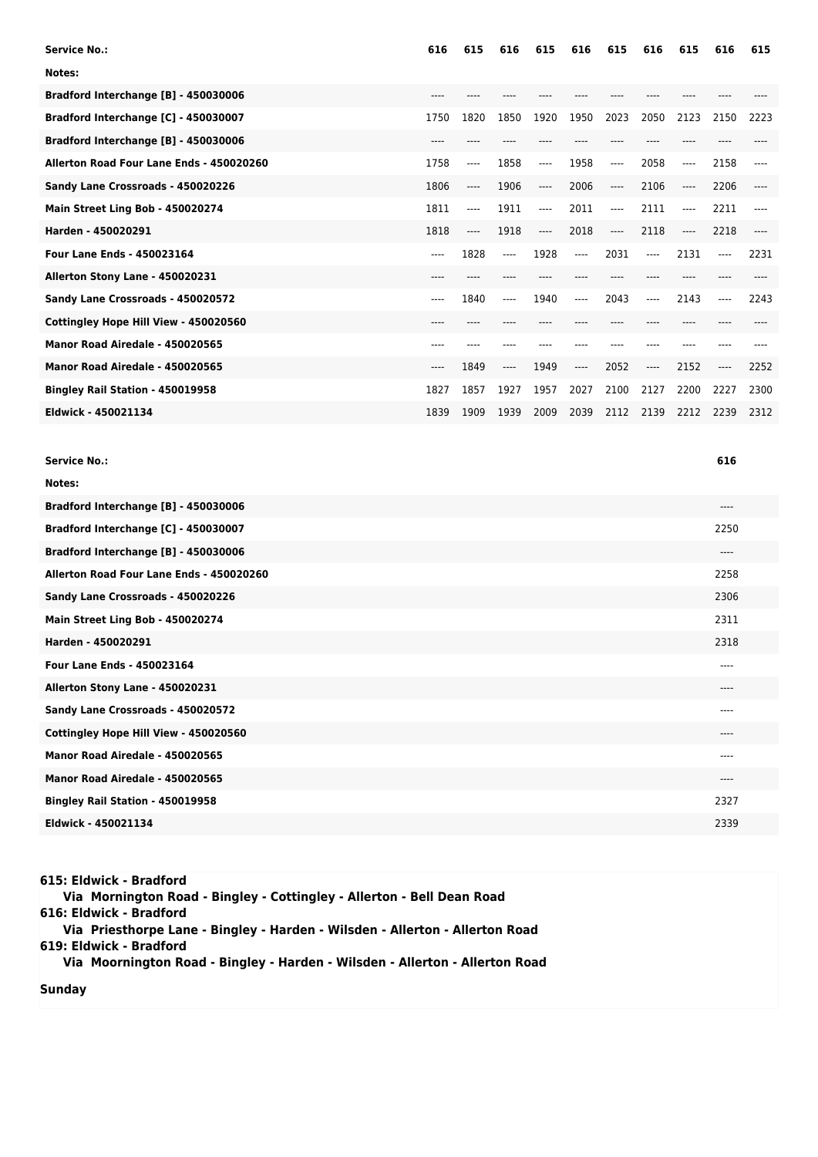| 616   | 615       | 616   | 615      | 616      | 615      | 616  | 615                                  | 616  | 615  |
|-------|-----------|-------|----------|----------|----------|------|--------------------------------------|------|------|
|       |           |       |          |          |          |      |                                      |      |      |
| ----  |           |       |          |          |          |      |                                      |      |      |
| 1750  | 1820      | 1850  | 1920     | 1950     | 2023     | 2050 | 2123                                 | 2150 | 2223 |
| ----  |           |       |          |          |          |      |                                      |      |      |
| 1758  | $---$     | 1858  | ----     | 1958     | $-----$  | 2058 | $---$                                | 2158 | ---- |
| 1806  | ----      | 1906  | ----     | 2006     | $\cdots$ | 2106 | $\hspace{1.5cm} \textbf{---}$        | 2206 | ---- |
| 1811  | ----      | 1911  | $---$    | 2011     | $-----$  | 2111 | $\qquad \qquad \cdots \qquad \qquad$ | 2211 | ---- |
| 1818  | $---$     | 1918  | $\cdots$ | 2018     | $-----$  | 2118 | $\hspace{1.5cm} \textbf{---}$        | 2218 |      |
| $---$ | 1828      | $---$ | 1928     | $\cdots$ | 2031     | ---- | 2131                                 | ---- | 2231 |
| ----  |           |       |          |          |          |      |                                      |      |      |
| $---$ | 1840      | ----  | 1940     | $---$    | 2043     | ---- | 2143                                 | ---- | 2243 |
| $---$ | $- - - -$ |       |          |          | ----     | ---- | $---$                                |      |      |
| ---   |           |       |          |          |          |      |                                      |      |      |
| $---$ | 1849      | ----  | 1949     | $---$    | 2052     | ---- | 2152                                 | ---- | 2252 |
| 1827  | 1857      | 1927  | 1957     | 2027     | 2100     | 2127 | 2200                                 | 2227 | 2300 |
| 1839  | 1909      | 1939  | 2009     | 2039     | 2112     | 2139 | 2212                                 | 2239 | 2312 |
|       |           |       |          |          |          |      |                                      |      |      |

| Notes:<br>Bradford Interchange [B] - 450030006<br>$---$<br>Bradford Interchange [C] - 450030007<br>2250<br>Bradford Interchange [B] - 450030006<br>$---$<br>Allerton Road Four Lane Ends - 450020260<br>2258<br>Sandy Lane Crossroads - 450020226<br>2306<br>Main Street Ling Bob - 450020274<br>2311<br>Harden - 450020291<br>2318<br><b>Four Lane Ends - 450023164</b><br>$---$<br>Allerton Stony Lane - 450020231<br>$---$<br>Sandy Lane Crossroads - 450020572<br>$- - - -$<br>Cottingley Hope Hill View - 450020560<br>$- - - -$<br>Manor Road Airedale - 450020565<br>----<br>Manor Road Airedale - 450020565<br>----<br>2327<br>Bingley Rail Station - 450019958<br>Eldwick - 450021134<br>2339 | <b>Service No.:</b> | 616 |
|--------------------------------------------------------------------------------------------------------------------------------------------------------------------------------------------------------------------------------------------------------------------------------------------------------------------------------------------------------------------------------------------------------------------------------------------------------------------------------------------------------------------------------------------------------------------------------------------------------------------------------------------------------------------------------------------------------|---------------------|-----|
|                                                                                                                                                                                                                                                                                                                                                                                                                                                                                                                                                                                                                                                                                                        |                     |     |
|                                                                                                                                                                                                                                                                                                                                                                                                                                                                                                                                                                                                                                                                                                        |                     |     |
|                                                                                                                                                                                                                                                                                                                                                                                                                                                                                                                                                                                                                                                                                                        |                     |     |
|                                                                                                                                                                                                                                                                                                                                                                                                                                                                                                                                                                                                                                                                                                        |                     |     |
|                                                                                                                                                                                                                                                                                                                                                                                                                                                                                                                                                                                                                                                                                                        |                     |     |
|                                                                                                                                                                                                                                                                                                                                                                                                                                                                                                                                                                                                                                                                                                        |                     |     |
|                                                                                                                                                                                                                                                                                                                                                                                                                                                                                                                                                                                                                                                                                                        |                     |     |
|                                                                                                                                                                                                                                                                                                                                                                                                                                                                                                                                                                                                                                                                                                        |                     |     |
|                                                                                                                                                                                                                                                                                                                                                                                                                                                                                                                                                                                                                                                                                                        |                     |     |
|                                                                                                                                                                                                                                                                                                                                                                                                                                                                                                                                                                                                                                                                                                        |                     |     |
|                                                                                                                                                                                                                                                                                                                                                                                                                                                                                                                                                                                                                                                                                                        |                     |     |
|                                                                                                                                                                                                                                                                                                                                                                                                                                                                                                                                                                                                                                                                                                        |                     |     |
|                                                                                                                                                                                                                                                                                                                                                                                                                                                                                                                                                                                                                                                                                                        |                     |     |
|                                                                                                                                                                                                                                                                                                                                                                                                                                                                                                                                                                                                                                                                                                        |                     |     |
|                                                                                                                                                                                                                                                                                                                                                                                                                                                                                                                                                                                                                                                                                                        |                     |     |
|                                                                                                                                                                                                                                                                                                                                                                                                                                                                                                                                                                                                                                                                                                        |                     |     |

| 615: Eldwick - Bradford<br>Via Mornington Road - Bingley - Cottingley - Allerton - Bell Dean Road |  |
|---------------------------------------------------------------------------------------------------|--|
| 616: Eldwick - Bradford                                                                           |  |
| Via Priesthorpe Lane - Bingley - Harden - Wilsden - Allerton - Allerton Road                      |  |
| 619: Eldwick - Bradford                                                                           |  |
| Via Moornington Road - Bingley - Harden - Wilsden - Allerton - Allerton Road                      |  |
| Sunday                                                                                            |  |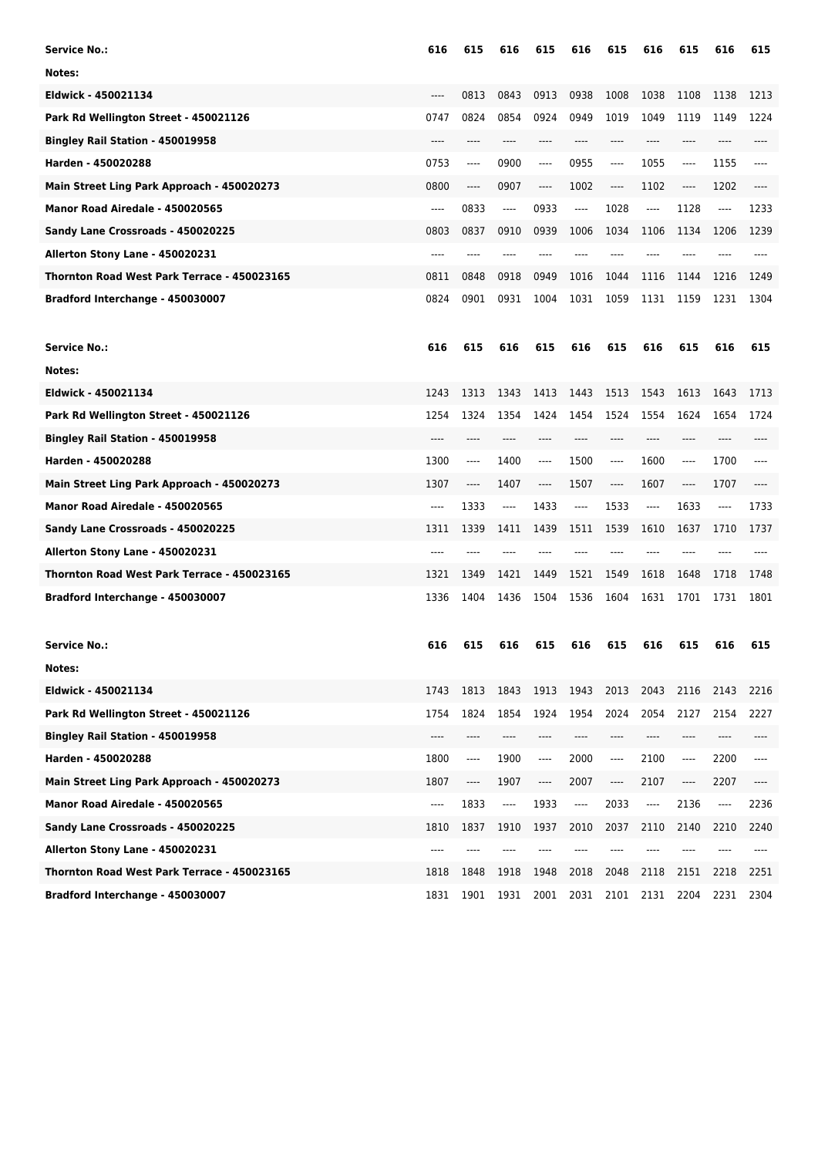| <b>Service No.:</b>                         | 616  | 615                                      | 616      | 615  | 616                      | 615      | 616  | 615                           | 616      | 615  |
|---------------------------------------------|------|------------------------------------------|----------|------|--------------------------|----------|------|-------------------------------|----------|------|
| Notes:                                      |      |                                          |          |      |                          |          |      |                               |          |      |
| Eldwick - 450021134                         | ---- | 0813                                     | 0843     | 0913 | 0938                     | 1008     | 1038 | 1108                          | 1138     | 1213 |
| Park Rd Wellington Street - 450021126       | 0747 | 0824                                     | 0854     | 0924 | 0949                     | 1019     | 1049 | 1119                          | 1149     | 1224 |
| <b>Bingley Rail Station - 450019958</b>     | ---- | ----                                     | $---$    | ---- | ----                     | $---$    | ---- | ----                          | ----     | ---- |
| Harden - 450020288                          | 0753 | ----                                     | 0900     | ---- | 0955                     | $\cdots$ | 1055 | ----                          | 1155     | ---- |
| Main Street Ling Park Approach - 450020273  | 0800 | ----                                     | 0907     | ---- | 1002                     | ----     | 1102 | ----                          | 1202     |      |
| Manor Road Airedale - 450020565             | ---- | 0833                                     | $\cdots$ | 0933 | $-----$                  | 1028     | ---- | 1128                          | $\cdots$ | 1233 |
| Sandy Lane Crossroads - 450020225           | 0803 | 0837                                     | 0910     | 0939 | 1006                     | 1034     | 1106 | 1134                          | 1206     | 1239 |
| Allerton Stony Lane - 450020231             | ---- | ----                                     |          |      |                          |          |      |                               |          |      |
| Thornton Road West Park Terrace - 450023165 | 0811 | 0848                                     | 0918     | 0949 | 1016                     | 1044     | 1116 | 1144                          | 1216     | 1249 |
| Bradford Interchange - 450030007            | 0824 | 0901                                     | 0931     | 1004 | 1031                     | 1059     | 1131 | 1159                          | 1231     | 1304 |
| <b>Service No.:</b>                         | 616  | 615                                      | 616      | 615  | 616                      | 615      | 616  | 615                           | 616      | 615  |
| Notes:                                      |      |                                          |          |      |                          |          |      |                               |          |      |
| Eldwick - 450021134                         | 1243 | 1313                                     | 1343     | 1413 | 1443                     | 1513     | 1543 | 1613                          | 1643     | 1713 |
| Park Rd Wellington Street - 450021126       | 1254 | 1324                                     | 1354     | 1424 | 1454                     | 1524     | 1554 | 1624                          | 1654     | 1724 |
| Bingley Rail Station - 450019958            |      |                                          |          |      |                          | ----     |      | ----                          |          |      |
| Harden - 450020288                          | 1300 | ----                                     | 1400     | ---- | 1500                     | $\cdots$ | 1600 | ----                          | 1700     | ---- |
| Main Street Ling Park Approach - 450020273  | 1307 | ----                                     | 1407     | ---- | 1507                     | ----     | 1607 | ----                          | 1707     |      |
| Manor Road Airedale - 450020565             | ---- | 1333                                     | ----     | 1433 | ----                     | 1533     | ---- | 1633                          | $\cdots$ | 1733 |
| Sandy Lane Crossroads - 450020225           | 1311 | 1339                                     | 1411     | 1439 | 1511                     | 1539     | 1610 | 1637                          | 1710     | 1737 |
| Allerton Stony Lane - 450020231             |      |                                          |          |      |                          |          |      |                               |          |      |
| Thornton Road West Park Terrace - 450023165 | 1321 | 1349                                     | 1421     | 1449 | 1521                     | 1549     | 1618 | 1648                          | 1718     | 1748 |
| Bradford Interchange - 450030007            | 1336 | 1404                                     | 1436     | 1504 | 1536                     | 1604     | 1631 | 1701                          | 1731     | 1801 |
| <b>Service No.:</b>                         | 616  | 615                                      | 616      | 615  | 616                      | 615      | 616  | 615                           | 616      | 615  |
| Notes:                                      |      |                                          |          |      |                          |          |      |                               |          |      |
| Eldwick - 450021134                         | 1743 | 1813                                     | 1843     | 1913 | 1943                     | 2013     | 2043 | 2116                          | 2143     | 2216 |
| Park Rd Wellington Street - 450021126       | 1754 | 1824                                     | 1854     | 1924 | 1954                     | 2024     | 2054 | 2127                          | 2154     | 2227 |
| Bingley Rail Station - 450019958            | ---- | ----                                     | ----     | ---- | ----                     | $-----$  | ---- | ----                          | ----     | ---- |
| Harden - 450020288                          | 1800 | ----                                     | 1900     | ---- | 2000                     | ----     | 2100 | ----                          | 2200     | ---- |
| Main Street Ling Park Approach - 450020273  | 1807 | $\hspace{0.05cm} \ldots \hspace{0.05cm}$ | 1907     | ---- | 2007                     | ----     | 2107 | $\hspace{1.5cm} \textbf{---}$ | 2207     | ---- |
| Manor Road Airedale - 450020565             | ---- | 1833                                     | ----     | 1933 | $\overline{\phantom{a}}$ | 2033     | ---- | 2136                          | ----     | 2236 |
| Sandy Lane Crossroads - 450020225           | 1810 | 1837                                     | 1910     | 1937 | 2010                     | 2037     | 2110 | 2140                          | 2210     | 2240 |
| Allerton Stony Lane - 450020231             | ---- | ----                                     |          |      |                          | ----     | ---- |                               |          |      |
| Thornton Road West Park Terrace - 450023165 | 1818 | 1848                                     | 1918     | 1948 | 2018                     | 2048     | 2118 | 2151                          | 2218     | 2251 |
| Bradford Interchange - 450030007            | 1831 | 1901                                     | 1931     | 2001 | 2031                     | 2101     | 2131 | 2204                          | 2231     | 2304 |